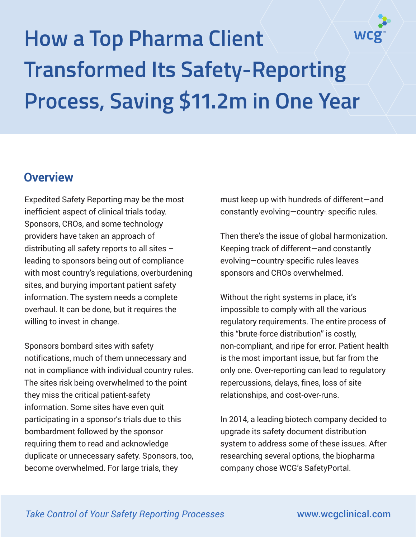

# **How a Top Pharma Client Transformed Its Safety-Reporting Process, Saving \$11.2m in One Year**

## **Overview**

Expedited Safety Reporting may be the most inefficient aspect of clinical trials today. Sponsors, CROs, and some technology providers have taken an approach of distributing all safety reports to all sites – leading to sponsors being out of compliance with most country's regulations, overburdening sites, and burying important patient safety information. The system needs a complete overhaul. It can be done, but it requires the willing to invest in change.

Sponsors bombard sites with safety notifications, much of them unnecessary and not in compliance with individual country rules. The sites risk being overwhelmed to the point they miss the critical patient-safety information. Some sites have even quit participating in a sponsor's trials due to this bombardment followed by the sponsor requiring them to read and acknowledge duplicate or unnecessary safety. Sponsors, too, become overwhelmed. For large trials, they

must keep up with hundreds of different—and constantly evolving—country- specific rules.

Then there's the issue of global harmonization. Keeping track of different—and constantly evolving—country-specific rules leaves sponsors and CROs overwhelmed.

Without the right systems in place, it's impossible to comply with all the various regulatory requirements. The entire process of this "brute-force distribution" is costly, non-compliant, and ripe for error. Patient health is the most important issue, but far from the only one. Over-reporting can lead to regulatory repercussions, delays, fines, loss of site relationships, and cost-over-runs.

In 2014, a leading biotech company decided to upgrade its safety document distribution system to address some of these issues. After researching several options, the biopharma company chose WCG's SafetyPortal.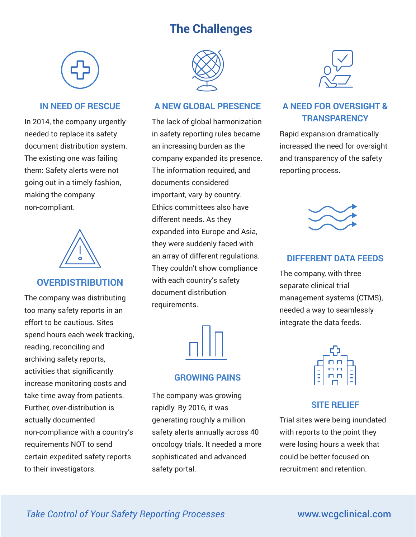# **The Challenges**



#### **IN NEED OF RESCUE**

In 2014, the company urgently needed to replace its safety document distribution system. The existing one was failing them: Safety alerts were not going out in a timely fashion, making the company non-compliant.



#### **OVERDISTRIBUTION**

The company was distributing too many safety reports in an effort to be cautious. Sites spend hours each week tracking, reading, reconciling and archiving safety reports, activities that significantly increase monitoring costs and take time away from patients. Further, over-distribution is actually documented non-compliance with a country's requirements NOT to send certain expedited safety reports to their investigators.



#### **A NEW GLOBAL PRESENCE**

The lack of global harmonization in safety reporting rules became an increasing burden as the company expanded its presence. The information required, and documents considered important, vary by country. Ethics committees also have different needs. As they expanded into Europe and Asia, they were suddenly faced with an array of different regulations. They couldn't show compliance with each country's safety document distribution requirements.



#### **GROWING PAINS**

The company was growing rapidly. By 2016, it was generating roughly a million safety alerts annually across 40 oncology trials. It needed a more sophisticated and advanced safety portal.



### **A NEED FOR OVERSIGHT & TRANSPARENCY**

Rapid expansion dramatically increased the need for oversight and transparency of the safety reporting process.



#### **DIFFERENT DATA FEEDS**

The company, with three separate clinical trial management systems (CTMS), needed a way to seamlessly integrate the data feeds.



#### **SITE RELIEF**

Trial sites were being inundated with reports to the point they were losing hours a week that could be better focused on recruitment and retention.

#### *Take Control of Your Safety Reporting Processes* [www.wcgclinical.com](https://www.wcgclinical.com/services/safety-portal/)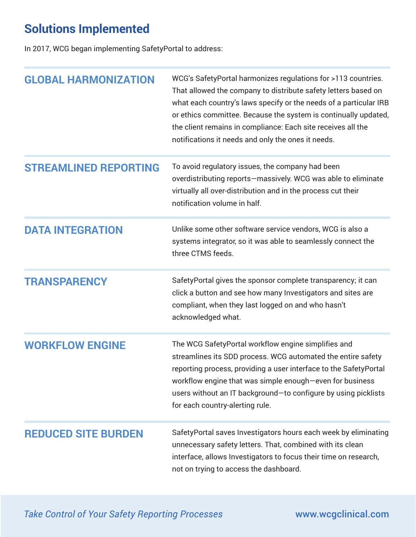# **Solutions Implemented**

In 2017, WCG began implementing SafetyPortal to address:

| <b>GLOBAL HARMONIZATION</b>  | WCG's SafetyPortal harmonizes regulations for >113 countries.<br>That allowed the company to distribute safety letters based on<br>what each country's laws specify or the needs of a particular IRB<br>or ethics committee. Because the system is continually updated,<br>the client remains in compliance: Each site receives all the<br>notifications it needs and only the ones it needs. |
|------------------------------|-----------------------------------------------------------------------------------------------------------------------------------------------------------------------------------------------------------------------------------------------------------------------------------------------------------------------------------------------------------------------------------------------|
| <b>STREAMLINED REPORTING</b> | To avoid regulatory issues, the company had been<br>overdistributing reports-massively. WCG was able to eliminate<br>virtually all over-distribution and in the process cut their<br>notification volume in half.                                                                                                                                                                             |
| <b>DATA INTEGRATION</b>      | Unlike some other software service vendors, WCG is also a<br>systems integrator, so it was able to seamlessly connect the<br>three CTMS feeds.                                                                                                                                                                                                                                                |
| <b>TRANSPARENCY</b>          | SafetyPortal gives the sponsor complete transparency; it can<br>click a button and see how many Investigators and sites are<br>compliant, when they last logged on and who hasn't<br>acknowledged what.                                                                                                                                                                                       |
| <b>WORKFLOW ENGINE</b>       | The WCG SafetyPortal workflow engine simplifies and<br>streamlines its SDD process. WCG automated the entire safety<br>reporting process, providing a user interface to the SafetyPortal<br>workflow engine that was simple enough-even for business<br>users without an IT background-to configure by using picklists<br>for each country-alerting rule.                                     |
| <b>REDUCED SITE BURDEN</b>   | SafetyPortal saves Investigators hours each week by eliminating<br>unnecessary safety letters. That, combined with its clean<br>interface, allows Investigators to focus their time on research,<br>not on trying to access the dashboard.                                                                                                                                                    |

*Take Control of Your Safety Reporting Processes* [www.wcgclinical.com](https://www.wcgclinical.com/services/safety-portal/)